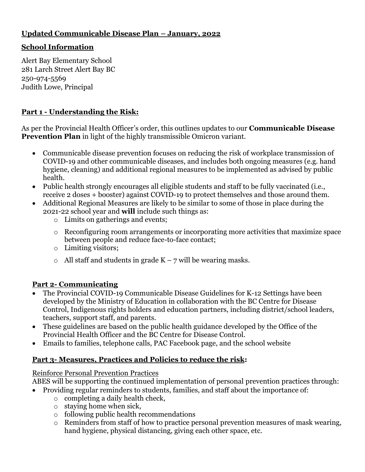# **Updated Communicable Disease Plan – January, 2022**

### **School Information**

Alert Bay Elementary School 281 Larch Street Alert Bay BC 250-974-5569 Judith Lowe, Principal

## **Part 1 - Understanding the Risk:**

As per the Provincial Health Officer's order, this outlines updates to our **Communicable Disease Prevention Plan** in light of the highly transmissible Omicron variant.

- Communicable disease prevention focuses on reducing the risk of workplace transmission of COVID-19 and other communicable diseases, and includes both ongoing measures (e.g. hand hygiene, cleaning) and additional regional measures to be implemented as advised by public health.
- Public health strongly encourages all eligible students and staff to be fully vaccinated (i.e., receive 2 doses + booster) against COVID-19 to protect themselves and those around them.
- Additional Regional Measures are likely to be similar to some of those in place during the 2021-22 school year and **will** include such things as:
	- o Limits on gatherings and events;
	- o Reconfiguring room arrangements or incorporating more activities that maximize space between people and reduce face-to-face contact;
	- o Limiting visitors;
	- $\circ$  All staff and students in grade K 7 will be wearing masks.

## **Part 2- Communicating**

- The Provincial COVID-19 Communicable Disease Guidelines for K-12 Settings have been developed by the Ministry of Education in collaboration with the BC Centre for Disease Control, Indigenous rights holders and education partners, including district/school leaders, teachers, support staff, and parents.
- These guidelines are based on the public health guidance developed by the Office of the Provincial Health Officer and the BC Centre for Disease Control.
- Emails to families, telephone calls, PAC Facebook page, and the school website

## **Part 3- Measures, Practices and Policies to reduce the risk:**

#### Reinforce Personal Prevention Practices

ABES will be supporting the continued implementation of personal prevention practices through:

Providing regular reminders to students, families, and staff about the importance of:

- o completing a daily health check,
- o staying home when sick,
- o following public health recommendations
- o Reminders from staff of how to practice personal prevention measures of mask wearing, hand hygiene, physical distancing, giving each other space, etc.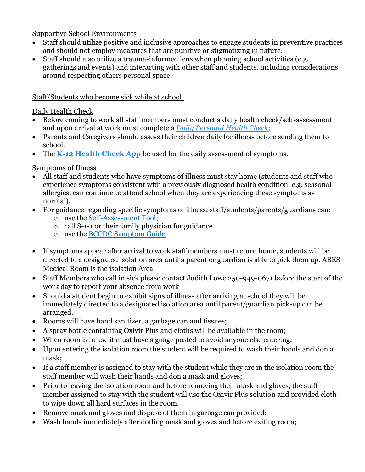Supportive School Environments

- Staff should utilize positive and inclusive approaches to engage students in preventive practices and should not employ measures that are punitive or stigmatizing in nature.
- Staff should also utilize a trauma-informed lens when planning school activities (e.g. gatherings and events) and interacting with other staff and students, including considerations around respecting others personal space.

## Staff/Students who become sick while at school:

### Daily Health Check

- Before coming to work all staff members must conduct a daily health check/self-assessment and upon arrival at work must complete a *[Daily Personal Health Check;](https://bc.thrive.health/covid19/en)*
- Parents and Caregivers should assess their children daily for illness before sending them to school.
- The **[K-12 Health Check App](https://www.k12dailycheck.gov.bc.ca/healthcheck?execution=e1s1)** be used for the daily assessment of symptoms.

## Symptoms of Illness

- All staff and students who have symptoms of illness must stay home (students and staff who experience symptoms consistent with a previously diagnosed health condition, e.g. seasonal allergies, can continue to attend school when they are experiencing these symptoms as normal).
- For guidance regarding specific symptoms of illness, staff/students/parents/guardians can:
	- o use the [Self-Assessment Tool;](https://bc.thrive.health/covid19/en)
	- o call 8-1-1 or their family physician for guidance.
	- o use the [BCCDC Symptom Guide](http://www.bccdc.ca/health-info/diseases-conditions/covid-19/about-covid-19/symptoms)
- If symptoms appear after arrival to work staff members must return home, students will be directed to a designated isolation area until a parent or guardian is able to pick them up. ABES Medical Room is the isolation Area.
- Staff Members who call in sick please contact Judith Lowe 250-949-0671 before the start of the work day to report your absence from work
- Should a student begin to exhibit signs of illness after arriving at school they will be immediately directed to a designated isolation area until parent/guardian pick-up can be arranged.
- Rooms will have hand sanitizer, a garbage can and tissues;
- A spray bottle containing Oxivir Plus and cloths will be available in the room;
- When room is in use it must have signage posted to avoid anyone else entering;
- Upon entering the isolation room the student will be required to wash their hands and don a mask;
- If a staff member is assigned to stay with the student while they are in the isolation room the staff member will wash their hands and don a mask and gloves;
- Prior to leaving the isolation room and before removing their mask and gloves, the staff member assigned to stay with the student will use the Oxivir Plus solution and provided cloth to wipe down all hard surfaces in the room.
- Remove mask and gloves and dispose of them in garbage can provided;
- Wash hands immediately after doffing mask and gloves and before exiting room;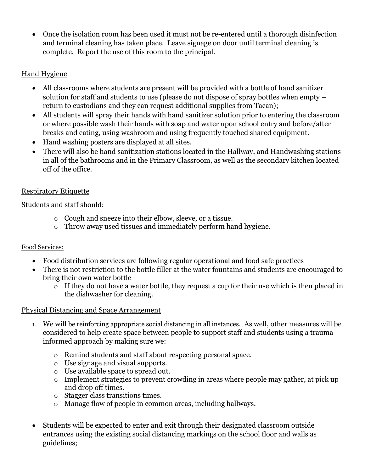Once the isolation room has been used it must not be re-entered until a thorough disinfection and terminal cleaning has taken place. Leave signage on door until terminal cleaning is complete. Report the use of this room to the principal.

## Hand Hygiene

- All classrooms where students are present will be provided with a bottle of hand sanitizer solution for staff and students to use (please do not dispose of spray bottles when empty – return to custodians and they can request additional supplies from Tacan);
- All students will spray their hands with hand sanitizer solution prior to entering the classroom or where possible wash their hands with soap and water upon school entry and before/after breaks and eating, using washroom and using frequently touched shared equipment.
- Hand washing posters are displayed at all sites.
- There will also be hand sanitization stations located in the Hallway, and Handwashing stations in all of the bathrooms and in the Primary Classroom, as well as the secondary kitchen located off of the office.

## Respiratory Etiquette

Students and staff should:

- o Cough and sneeze into their elbow, sleeve, or a tissue.
- o Throw away used tissues and immediately perform hand hygiene.

## Food Services:

- Food distribution services are following regular operational and food safe practices
- There is not restriction to the bottle filler at the water fountains and students are encouraged to bring their own water bottle
	- $\overline{\circ}$  If they do not have a water bottle, they request a cup for their use which is then placed in the dishwasher for cleaning.

## Physical Distancing and Space Arrangement

- 1. We will be reinforcing appropriate social distancing in all instances. As well, other measures will be considered to help create space between people to support staff and students using a trauma informed approach by making sure we:
	- o Remind students and staff about respecting personal space.
	- o Use signage and visual supports.
	- o Use available space to spread out.
	- o Implement strategies to prevent crowding in areas where people may gather, at pick up and drop off times.
	- o Stagger class transitions times.
	- o Manage flow of people in common areas, including hallways.
- Students will be expected to enter and exit through their designated classroom outside entrances using the existing social distancing markings on the school floor and walls as guidelines;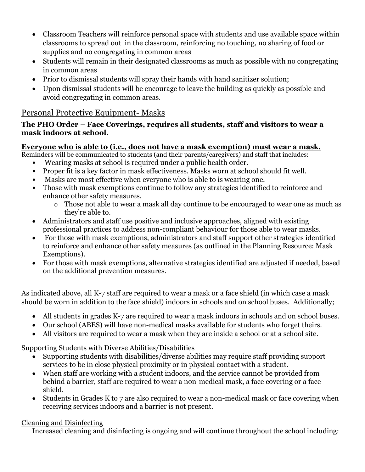- Classroom Teachers will reinforce personal space with students and use available space within classrooms to spread out in the classroom, reinforcing no touching, no sharing of food or supplies and no congregating in common areas
- Students will remain in their designated classrooms as much as possible with no congregating in common areas
- Prior to dismissal students will spray their hands with hand sanitizer solution;
- Upon dismissal students will be encourage to leave the building as quickly as possible and avoid congregating in common areas.

# Personal Protective Equipment- Masks

### **The PHO Order – Face Coverings, requires all students, staff and visitors to wear a mask indoors at school.**

# **Everyone who is able to (i.e., does not have a mask exemption) must wear a mask.**

Reminders will be communicated to students (and their parents/caregivers) and staff that includes:

- Wearing masks at school is required under a public health order.
- Proper fit is a key factor in mask effectiveness. Masks worn at school should fit well.
- Masks are most effective when everyone who is able to is wearing one.
- Those with mask exemptions continue to follow any strategies identified to reinforce and enhance other safety measures.
	- o Those not able to wear a mask all day continue to be encouraged to wear one as much as they're able to.
- Administrators and staff use positive and inclusive approaches, aligned with existing professional practices to address non-compliant behaviour for those able to wear masks.
- For those with mask exemptions, administrators and staff support other strategies identified to reinforce and enhance other safety measures (as outlined in the Planning Resource: Mask Exemptions).
- For those with mask exemptions, alternative strategies identified are adjusted if needed, based on the additional prevention measures.

As indicated above, all K-7 staff are required to wear a mask or a face shield (in which case a mask should be worn in addition to the face shield) indoors in schools and on school buses. Additionally;

- All students in grades K-7 are required to wear a mask indoors in schools and on school buses.
- Our school (ABES) will have non-medical masks available for students who forget theirs.
- All visitors are required to wear a mask when they are inside a school or at a school site.

Supporting Students with Diverse Abilities/Disabilities

- Supporting students with disabilities/diverse abilities may require staff providing support services to be in close physical proximity or in physical contact with a student.
- When staff are working with a student indoors, and the service cannot be provided from behind a barrier, staff are required to wear a non-medical mask, a face covering or a face shield.
- Students in Grades K to 7 are also required to wear a non-medical mask or face covering when receiving services indoors and a barrier is not present.

## Cleaning and Disinfecting

Increased cleaning and disinfecting is ongoing and will continue throughout the school including: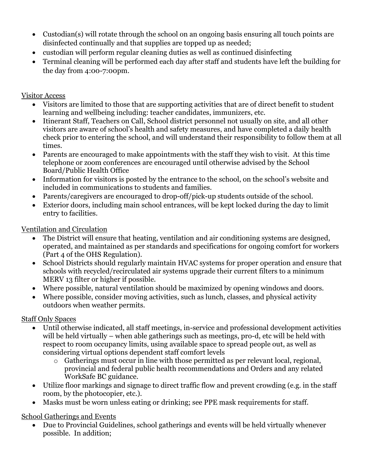- Custodian(s) will rotate through the school on an ongoing basis ensuring all touch points are disinfected continually and that supplies are topped up as needed;
- custodian will perform regular cleaning duties as well as continued disinfecting
- Terminal cleaning will be performed each day after staff and students have left the building for the day from 4:00-7:00pm.

### Visitor Access

- Visitors are limited to those that are supporting activities that are of direct benefit to student learning and wellbeing including: teacher candidates, immunizers, etc.
- Itinerant Staff, Teachers on Call, School district personnel not usually on site, and all other visitors are aware of school's health and safety measures, and have completed a daily health check prior to entering the school, and will understand their responsibility to follow them at all times.
- Parents are encouraged to make appointments with the staff they wish to visit. At this time telephone or zoom conferences are encouraged until otherwise advised by the School Board/Public Health Office
- Information for visitors is posted by the entrance to the school, on the school's website and included in communications to students and families.
- Parents/caregivers are encouraged to drop-off/pick-up students outside of the school.
- Exterior doors, including main school entrances, will be kept locked during the day to limit entry to facilities.

## Ventilation and Circulation

- The District will ensure that heating, ventilation and air conditioning systems are designed, operated, and maintained as per standards and specifications for ongoing comfort for workers (Part 4 of the OHS Regulation).
- School Districts should regularly maintain HVAC systems for proper operation and ensure that schools with recycled/recirculated air systems upgrade their current filters to a minimum MERV 13 filter or higher if possible.
- Where possible, natural ventilation should be maximized by opening windows and doors.
- Where possible, consider moving activities, such as lunch, classes, and physical activity outdoors when weather permits.

## Staff Only Spaces

- Until otherwise indicated, all staff meetings, in-service and professional development activities will be held virtually – when able gatherings such as meetings, pro-d, etc will be held with respect to room occupancy limits, using available space to spread people out, as well as considering virtual options dependent staff comfort levels
	- o Gatherings must occur in line with those permitted as per relevant local, regional, provincial and federal public health recommendations and Orders and any related WorkSafe BC guidance.
- Utilize floor markings and signage to direct traffic flow and prevent crowding (e.g. in the staff room, by the photocopier, etc.).
- Masks must be worn unless eating or drinking; see PPE mask requirements for staff.

# School Gatherings and Events

 Due to Provincial Guidelines, school gatherings and events will be held virtually whenever possible. In addition;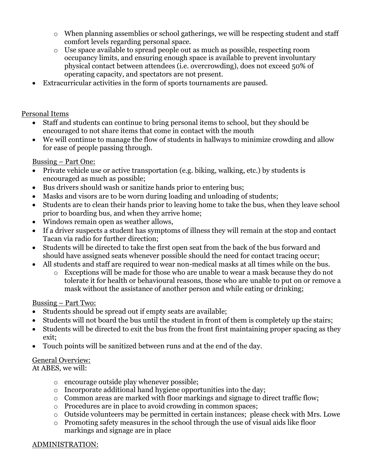- o When planning assemblies or school gatherings, we will be respecting student and staff comfort levels regarding personal space.
- o Use space available to spread people out as much as possible, respecting room occupancy limits, and ensuring enough space is available to prevent involuntary physical contact between attendees (i.e. overcrowding), does not exceed 50% of operating capacity, and spectators are not present.
- Extracurricular activities in the form of sports tournaments are paused.

### Personal Items

- Staff and students can continue to bring personal items to school, but they should be encouraged to not share items that come in contact with the mouth
- We will continue to manage the flow of students in hallways to minimize crowding and allow for ease of people passing through.

### Bussing – Part One:

- Private vehicle use or active transportation (e.g. biking, walking, etc.) by students is encouraged as much as possible;
- Bus drivers should wash or sanitize hands prior to entering bus;
- Masks and visors are to be worn during loading and unloading of students;
- Students are to clean their hands prior to leaving home to take the bus, when they leave school prior to boarding bus, and when they arrive home;
- Windows remain open as weather allows,
- If a driver suspects a student has symptoms of illness they will remain at the stop and contact Tacan via radio for further direction;
- Students will be directed to take the first open seat from the back of the bus forward and should have assigned seats whenever possible should the need for contact tracing occur;
- All students and staff are required to wear non-medical masks at all times while on the bus.
	- o Exceptions will be made for those who are unable to wear a mask because they do not tolerate it for health or behavioural reasons, those who are unable to put on or remove a mask without the assistance of another person and while eating or drinking;

#### Bussing – Part Two:

- Students should be spread out if empty seats are available;
- Students will not board the bus until the student in front of them is completely up the stairs;
- Students will be directed to exit the bus from the front first maintaining proper spacing as they exit;
- Touch points will be sanitized between runs and at the end of the day.

## General Overview:

At ABES, we will:

- o encourage outside play whenever possible;
- o Incorporate additional hand hygiene opportunities into the day;
- o Common areas are marked with floor markings and signage to direct traffic flow;
- o Procedures are in place to avoid crowding in common spaces;
- o Outside volunteers may be permitted in certain instances; please check with Mrs. Lowe
- o Promoting safety measures in the school through the use of visual aids like floor markings and signage are in place

#### ADMINISTRATION: